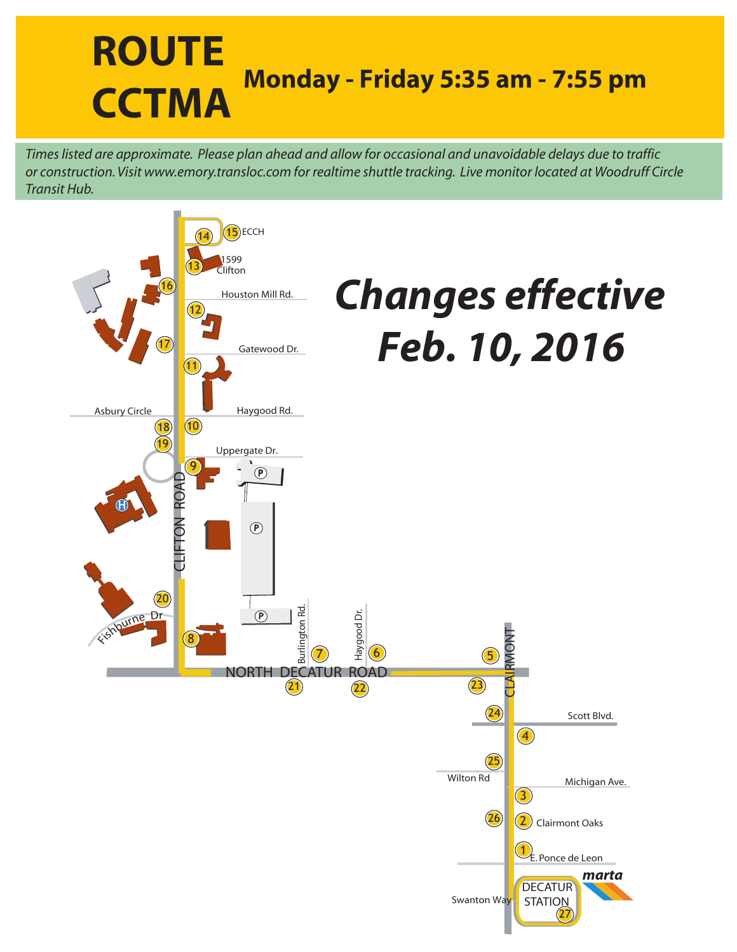## **ROUTE CCTMA Monday - Friday 5:35 am - 7:55 pm**

*Times listed are approximate. Please plan ahead and allow for occasional and unavoidable delays due to traffic or construction. Visit www.emory.transloc.com for realtime shuttle tracking. Live monitor located at Woodruff Circle Transit Hub.*